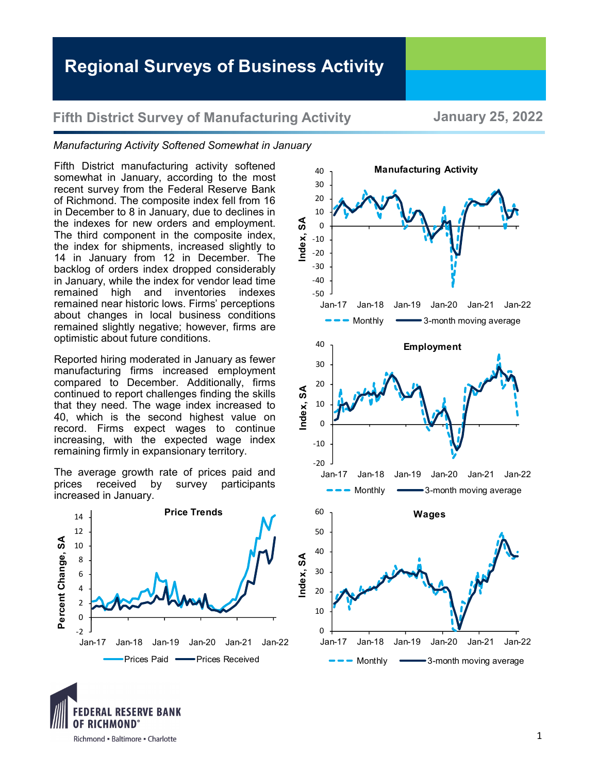## **Fifth District Survey of Manufacturing Activity January 25, 2022**

## *Manufacturing Activity Softened Somewhat in January*

Fifth District manufacturing activity softened somewhat in January, according to the most recent survey from the Federal Reserve Bank of Richmond. The composite index fell from 16 in December to 8 in January, due to declines in the indexes for new orders and employment. The third component in the composite index, the index for shipments, increased slightly to 14 in January from 12 in December. The backlog of orders index dropped considerably in January, while the index for vendor lead time remained high and inventories indexes remained near historic lows. Firms' perceptions about changes in local business conditions remained slightly negative; however, firms are optimistic about future conditions.

Reported hiring moderated in January as fewer manufacturing firms increased employment compared to December. Additionally, firms continued to report challenges finding the skills that they need. The wage index increased to 40, which is the second highest value on record. Firms expect wages to continue increasing, with the expected wage index remaining firmly in expansionary territory.

The average growth rate of prices paid and prices received by survey participants increased in January.